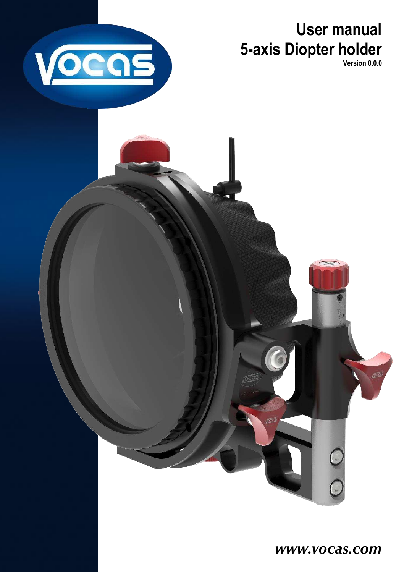**User manual 5-axis Diopter holder Version 0.0.0**

<span id="page-0-0"></span>

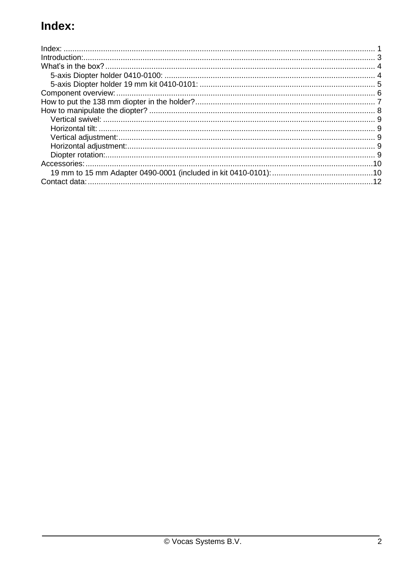# Index: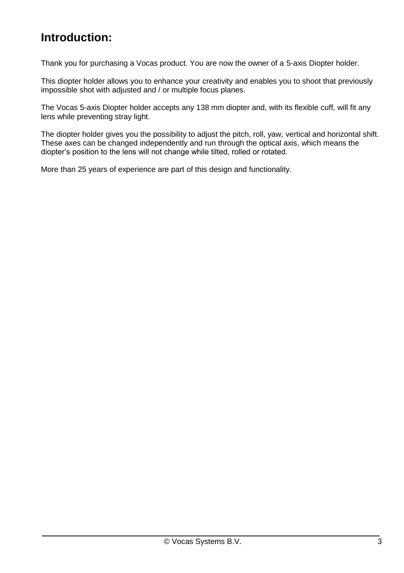## <span id="page-2-0"></span>**Introduction:**

Thank you for purchasing a Vocas product. You are now the owner of a 5-axis Diopter holder.

This diopter holder allows you to enhance your creativity and enables you to shoot that previously impossible shot with adjusted and / or multiple focus planes.

The Vocas 5-axis Diopter holder accepts any 138 mm diopter and, with its flexible cuff, will fit any lens while preventing stray light.

The diopter holder gives you the possibility to adjust the pitch, roll, yaw, vertical and horizontal shift. These axes can be changed independently and run through the optical axis, which means the diopter's position to the lens will not change while tilted, rolled or rotated.

More than 25 years of experience are part of this design and functionality.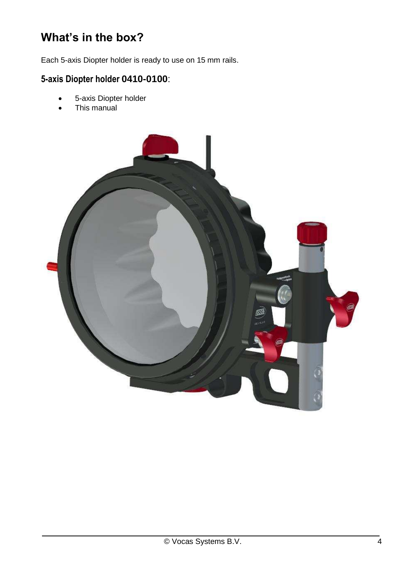## <span id="page-3-0"></span>**What's in the box?**

Each 5-axis Diopter holder is ready to use on 15 mm rails.

## <span id="page-3-1"></span>**5-axis Diopter holder 0410-0100**:

- 5-axis Diopter holder
- This manual

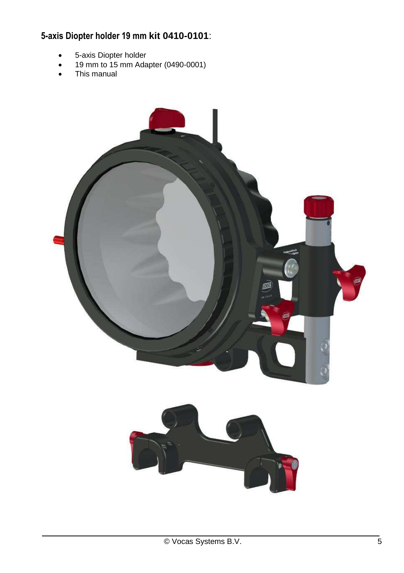## <span id="page-4-0"></span>**5-axis Diopter holder 19 mm kit 0410-0101**:

- 5-axis Diopter holder
- $\bullet$  19 mm to 15 mm Adapter (0490-0001)
- This manual

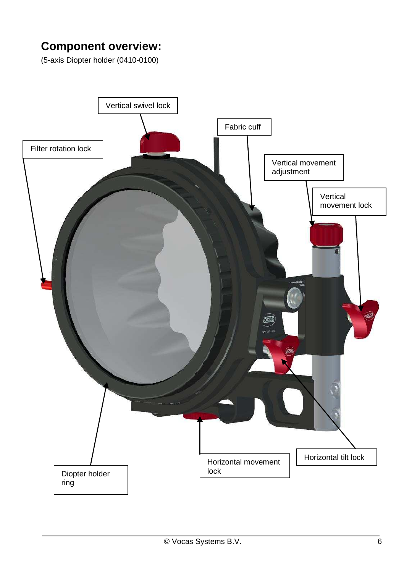## <span id="page-5-0"></span>**Component overview:**

(5-axis Diopter holder (0410-0100)

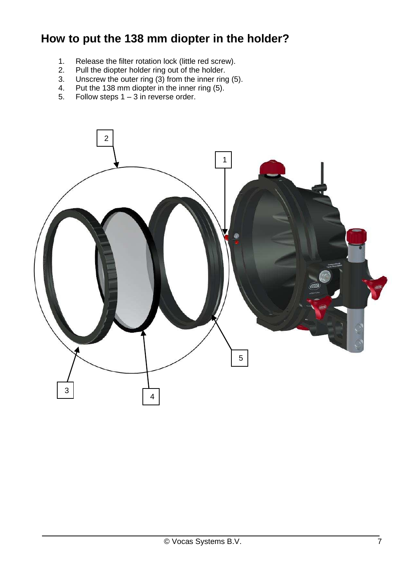## <span id="page-6-0"></span>**How to put the 138 mm diopter in the holder?**

- 1. Release the filter rotation lock (little red screw).<br>2. Pull the diopter holder ring out of the holder.
- 2. Pull the diopter holder ring out of the holder.
- 3. Unscrew the outer ring (3) from the inner ring (5).
- 4. Put the 138 mm diopter in the inner ring  $(5)$ .<br>5. Follow steps  $1 3$  in reverse order.
- Follow steps  $1 3$  in reverse order.

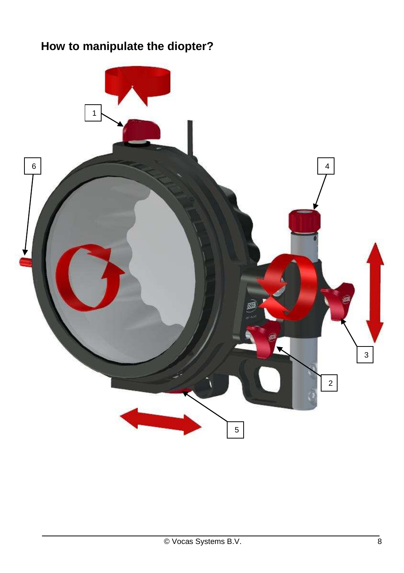# <span id="page-7-0"></span>**How to manipulate the diopter?**

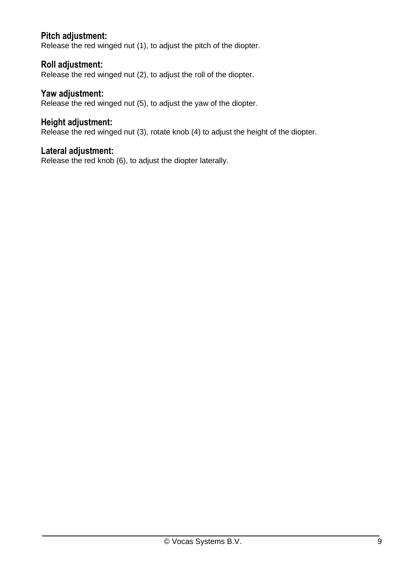#### <span id="page-8-0"></span>**Pitch adjustment:**

Release the red winged nut (1), to adjust the pitch of the diopter.

#### <span id="page-8-1"></span>**Roll adjustment:**

Release the red winged nut (2), to adjust the roll of the diopter.

#### <span id="page-8-2"></span>**Yaw adjustment:**

Release the red winged nut (5), to adjust the yaw of the diopter.

#### <span id="page-8-3"></span>**Height adjustment:**

Release the red winged nut (3), rotate knob (4) to adjust the height of the diopter.

#### <span id="page-8-4"></span>**Lateral adjustment:**

Release the red knob (6), to adjust the diopter laterally.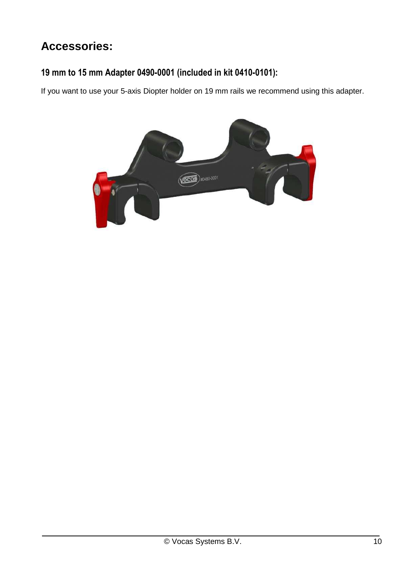# <span id="page-9-0"></span>**Accessories:**

### <span id="page-9-1"></span>**19 mm to 15 mm Adapter 0490-0001 (included in kit 0410-0101):**

If you want to use your 5-axis Diopter holder on 19 mm rails we recommend using this adapter.